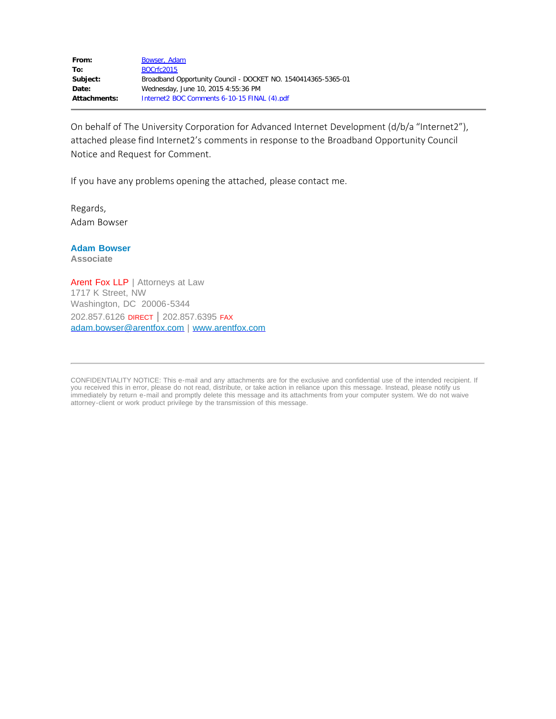| From:        | Bowser, Adam                                                  |
|--------------|---------------------------------------------------------------|
| To:          | BOCrfc2015                                                    |
| Subject:     | Broadband Opportunity Council - DOCKET NO. 1540414365-5365-01 |
| Date:        | Wednesday, June 10, 2015 4:55:36 PM                           |
| Attachments: | Internet2 BOC Comments 6-10-15 FINAL (4).pdf                  |

On behalf of The University Corporation for Advanced Internet Development (d/b/a "Internet2"), attached please find Internet2's comments in response to the Broadband Opportunity Council Notice and Request for Comment.

If you have any problems opening the attached, please contact me.

Regards, Adam Bowser

#### **Adam Bowser**

**Associate**

Arent Fox LLP | Attorneys at Law 1717 K Street, NW Washington, DC 20006-5344 202.857.6126 DIRECT | 202.857.6395 FAX [adam.bowser@arentfox.com](mailto:Adam.Bowser@arentfox.com) | [www.arentfox.com](http://www.arentfox.com/)

CONFIDENTIALITY NOTICE: This e-mail and any attachments are for the exclusive and confidential use of the intended recipient. If you received this in error, please do not read, distribute, or take action in reliance upon this message. Instead, please notify us immediately by return e-mail and promptly delete this message and its attachments from your computer system. We do not waive attorney-client or work product privilege by the transmission of this message.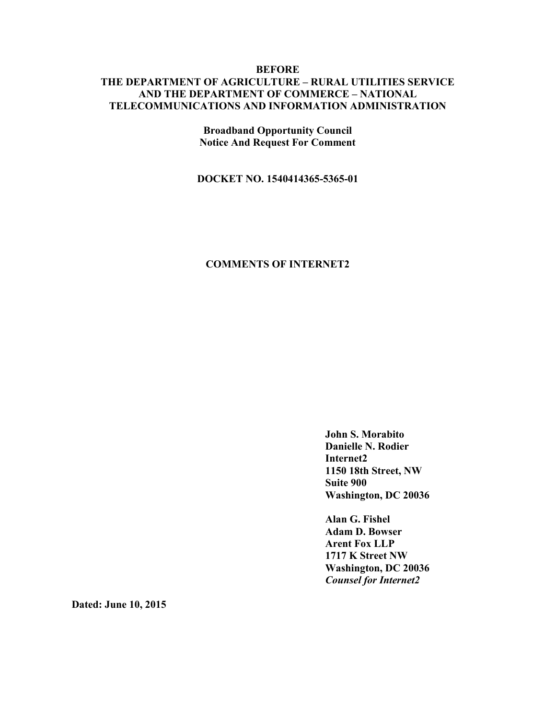#### **BEFORE THE DEPARTMENT OF AGRICULTURE – RURAL UTILITIES SERVICE AND THE DEPARTMENT OF COMMERCE – NATIONAL TELECOMMUNICATIONS AND INFORMATION ADMINISTRATION**

**Broadband Opportunity Council Notice And Request For Comment**

**DOCKET NO. 1540414365-5365-01**

#### **COMMENTS OF INTERNET2**

**John S. Morabito Danielle N. Rodier Internet2 1150 18th Street, NW Suite 900 Washington, DC 20036**

**Alan G. Fishel Adam D. Bowser Arent Fox LLP 1717 K Street NW Washington, DC 20036** *Counsel for Internet2*

**Dated: June 10, 2015**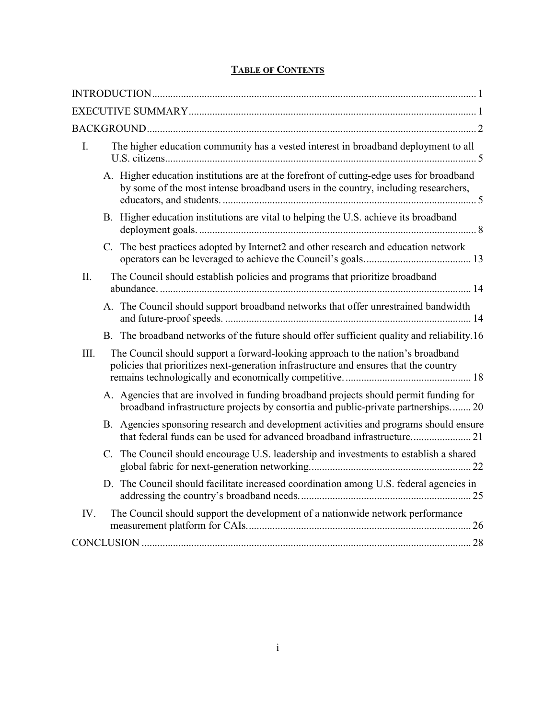## **TABLE OF CONTENTS**

| $\mathbf{I}$ . | The higher education community has a vested interest in broadband deployment to all                                                                                            |  |
|----------------|--------------------------------------------------------------------------------------------------------------------------------------------------------------------------------|--|
|                | A. Higher education institutions are at the forefront of cutting-edge uses for broadband<br>by some of the most intense broadband users in the country, including researchers, |  |
|                | B. Higher education institutions are vital to helping the U.S. achieve its broadband                                                                                           |  |
|                | C. The best practices adopted by Internet2 and other research and education network                                                                                            |  |
| II.            | The Council should establish policies and programs that prioritize broadband                                                                                                   |  |
|                | A. The Council should support broadband networks that offer unrestrained bandwidth                                                                                             |  |
|                | B. The broadband networks of the future should offer sufficient quality and reliability.16                                                                                     |  |
| III.           | The Council should support a forward-looking approach to the nation's broadband<br>policies that prioritizes next-generation infrastructure and ensures that the country       |  |
|                | A. Agencies that are involved in funding broadband projects should permit funding for<br>broadband infrastructure projects by consortia and public-private partnerships 20     |  |
|                | B. Agencies sponsoring research and development activities and programs should ensure                                                                                          |  |
|                | C. The Council should encourage U.S. leadership and investments to establish a shared                                                                                          |  |
|                | D. The Council should facilitate increased coordination among U.S. federal agencies in                                                                                         |  |
| IV.            | The Council should support the development of a nationwide network performance                                                                                                 |  |
|                |                                                                                                                                                                                |  |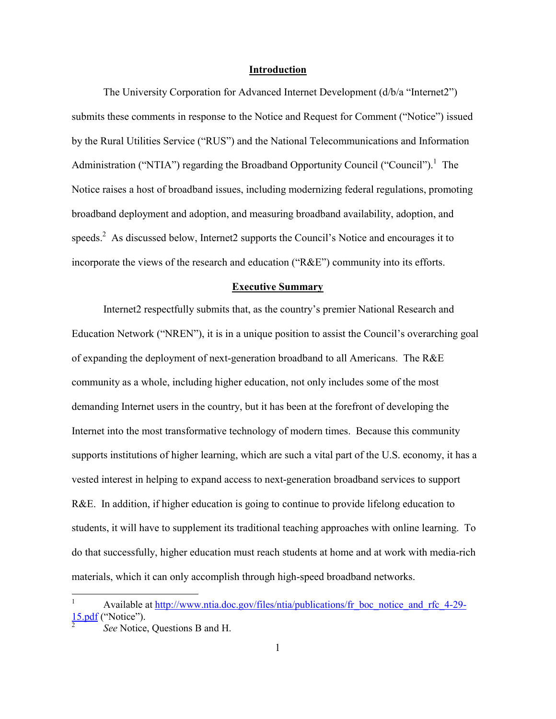#### **Introduction**

The University Corporation for Advanced Internet Development (d/b/a "Internet2") submits these comments in response to the Notice and Request for Comment ("Notice") issued by the Rural Utilities Service ("RUS") and the National Telecommunications and Information Administration ("NTIA") regarding the Broadband Opportunity Council ("Council").<sup>1</sup> The Notice raises a host of broadband issues, including modernizing federal regulations, promoting broadband deployment and adoption, and measuring broadband availability, adoption, and speeds.<sup>2</sup> As discussed below, Internet2 supports the Council's Notice and encourages it to incorporate the views of the research and education ("R&E") community into its efforts.

#### **Executive Summary**

Internet2 respectfully submits that, as the country's premier National Research and Education Network ("NREN"), it is in a unique position to assist the Council's overarching goal of expanding the deployment of next-generation broadband to all Americans. The R&E community as a whole, including higher education, not only includes some of the most demanding Internet users in the country, but it has been at the forefront of developing the Internet into the most transformative technology of modern times. Because this community supports institutions of higher learning, which are such a vital part of the U.S. economy, it has a vested interest in helping to expand access to next-generation broadband services to support R&E. In addition, if higher education is going to continue to provide lifelong education to students, it will have to supplement its traditional teaching approaches with online learning. To do that successfully, higher education must reach students at home and at work with media-rich materials, which it can only accomplish through high-speed broadband networks.

Available at http://www.ntia.doc.gov/files/ntia/publications/fr\_boc\_notice\_and\_rfc\_4-29-15.pdf ("Notice").

<sup>2</sup> *See* Notice, Questions B and H.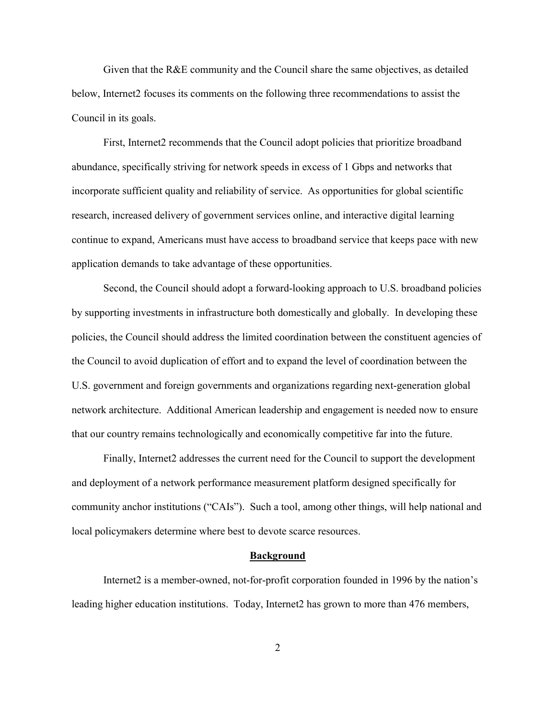Given that the R&E community and the Council share the same objectives, as detailed below, Internet2 focuses its comments on the following three recommendations to assist the Council in its goals.

First, Internet2 recommends that the Council adopt policies that prioritize broadband abundance, specifically striving for network speeds in excess of 1 Gbps and networks that incorporate sufficient quality and reliability of service. As opportunities for global scientific research, increased delivery of government services online, and interactive digital learning continue to expand, Americans must have access to broadband service that keeps pace with new application demands to take advantage of these opportunities.

Second, the Council should adopt a forward-looking approach to U.S. broadband policies by supporting investments in infrastructure both domestically and globally. In developing these policies, the Council should address the limited coordination between the constituent agencies of the Council to avoid duplication of effort and to expand the level of coordination between the U.S. government and foreign governments and organizations regarding next-generation global network architecture. Additional American leadership and engagement is needed now to ensure that our country remains technologically and economically competitive far into the future.

Finally, Internet2 addresses the current need for the Council to support the development and deployment of a network performance measurement platform designed specifically for community anchor institutions ("CAIs"). Such a tool, among other things, will help national and local policymakers determine where best to devote scarce resources.

#### **Background**

Internet2 is a member-owned, not-for-profit corporation founded in 1996 by the nation's leading higher education institutions. Today, Internet2 has grown to more than 476 members,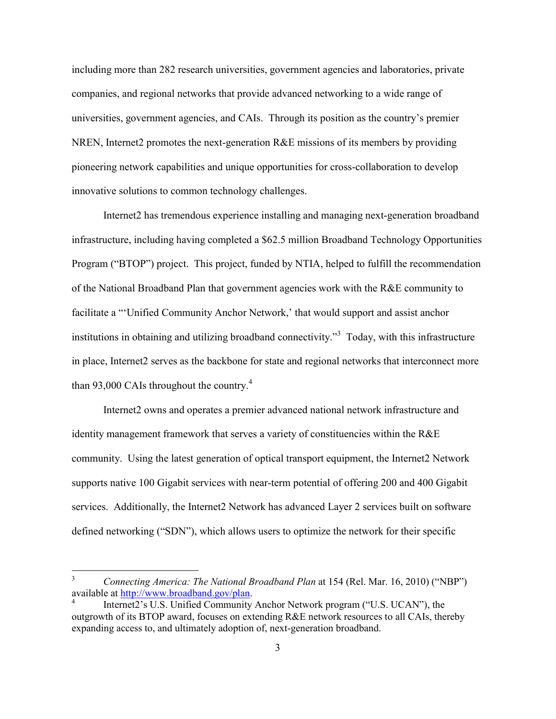including more than 282 research universities, government agencies and laboratories, private companies, and regional networks that provide advanced networking to a wide range of universities, government agencies, and CAIs. Through its position as the country's premier NREN, Internet2 promotes the next-generation R&E missions of its members by providing pioneering network capabilities and unique opportunities for cross-collaboration to develop innovative solutions to common technology challenges.

Internet2 has tremendous experience installing and managing next-generation broadband infrastructure, including having completed a \$62.5 million Broadband Technology Opportunities Program ("BTOP") project. This project, funded by NTIA, helped to fulfill the recommendation of the National Broadband Plan that government agencies work with the R&E community to facilitate a "'Unified Community Anchor Network,' that would support and assist anchor institutions in obtaining and utilizing broadband connectivity.<sup>33</sup> Today, with this infrastructure in place, Internet2 serves as the backbone for state and regional networks that interconnect more than 93,000 CAIs throughout the country.<sup>4</sup>

Internet2 owns and operates a premier advanced national network infrastructure and identity management framework that serves a variety of constituencies within the R&E community. Using the latest generation of optical transport equipment, the Internet2 Network supports native 100 Gigabit services with near-term potential of offering 200 and 400 Gigabit services. Additionally, the Internet2 Network has advanced Layer 2 services built on software defined networking ("SDN"), which allows users to optimize the network for their specific

<sup>3</sup> *Connecting America: The National Broadband Plan* at 154 (Rel. Mar. 16, 2010) ("NBP") available at http://www.broadband.gov/plan.

<sup>4</sup> Internet2's U.S. Unified Community Anchor Network program ("U.S. UCAN"), the outgrowth of its BTOP award, focuses on extending R&E network resources to all CAIs, thereby expanding access to, and ultimately adoption of, next-generation broadband.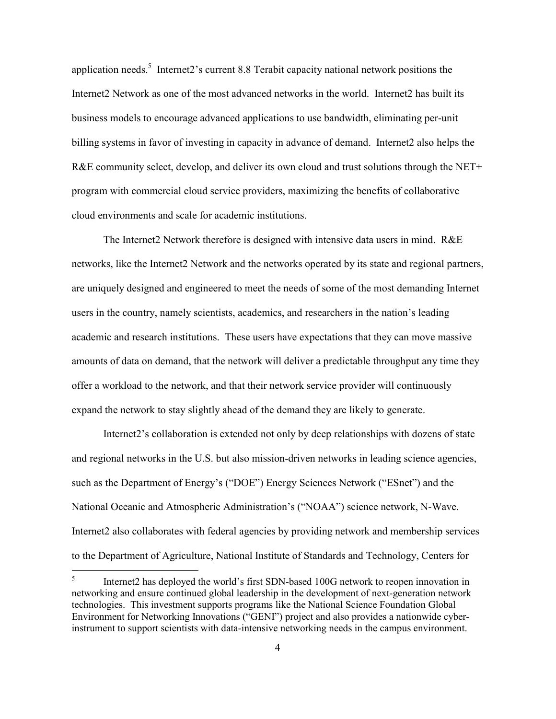application needs.<sup>5</sup> Internet2's current 8.8 Terabit capacity national network positions the Internet2 Network as one of the most advanced networks in the world. Internet2 has built its business models to encourage advanced applications to use bandwidth, eliminating per-unit billing systems in favor of investing in capacity in advance of demand. Internet2 also helps the R&E community select, develop, and deliver its own cloud and trust solutions through the NET+ program with commercial cloud service providers, maximizing the benefits of collaborative cloud environments and scale for academic institutions.

The Internet2 Network therefore is designed with intensive data users in mind. R&E networks, like the Internet2 Network and the networks operated by its state and regional partners, are uniquely designed and engineered to meet the needs of some of the most demanding Internet users in the country, namely scientists, academics, and researchers in the nation's leading academic and research institutions. These users have expectations that they can move massive amounts of data on demand, that the network will deliver a predictable throughput any time they offer a workload to the network, and that their network service provider will continuously expand the network to stay slightly ahead of the demand they are likely to generate.

Internet2's collaboration is extended not only by deep relationships with dozens of state and regional networks in the U.S. but also mission-driven networks in leading science agencies, such as the Department of Energy's ("DOE") Energy Sciences Network ("ESnet") and the National Oceanic and Atmospheric Administration's ("NOAA") science network, N-Wave. Internet2 also collaborates with federal agencies by providing network and membership services to the Department of Agriculture, National Institute of Standards and Technology, Centers for

<sup>5</sup> Internet2 has deployed the world's first SDN-based 100G network to reopen innovation in networking and ensure continued global leadership in the development of next-generation network technologies. This investment supports programs like the National Science Foundation Global Environment for Networking Innovations ("GENI") project and also provides a nationwide cyberinstrument to support scientists with data-intensive networking needs in the campus environment.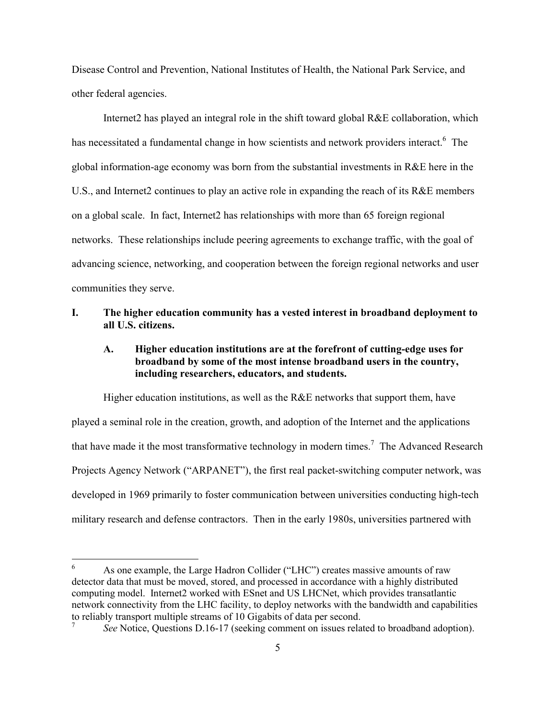Disease Control and Prevention, National Institutes of Health, the National Park Service, and other federal agencies.

Internet2 has played an integral role in the shift toward global R&E collaboration, which has necessitated a fundamental change in how scientists and network providers interact.<sup>6</sup> The global information-age economy was born from the substantial investments in R&E here in the U.S., and Internet2 continues to play an active role in expanding the reach of its R&E members on a global scale. In fact, Internet2 has relationships with more than 65 foreign regional networks. These relationships include peering agreements to exchange traffic, with the goal of advancing science, networking, and cooperation between the foreign regional networks and user communities they serve.

#### **I. The higher education community has a vested interest in broadband deployment to all U.S. citizens.**

### **A. Higher education institutions are at the forefront of cutting-edge uses for broadband by some of the most intense broadband users in the country, including researchers, educators, and students.**

Higher education institutions, as well as the R&E networks that support them, have played a seminal role in the creation, growth, and adoption of the Internet and the applications that have made it the most transformative technology in modern times.<sup>7</sup> The Advanced Research Projects Agency Network ("ARPANET"), the first real packet-switching computer network, was developed in 1969 primarily to foster communication between universities conducting high-tech military research and defense contractors. Then in the early 1980s, universities partnered with

<sup>6</sup> As one example, the Large Hadron Collider ("LHC") creates massive amounts of raw detector data that must be moved, stored, and processed in accordance with a highly distributed computing model. Internet2 worked with ESnet and US LHCNet, which provides transatlantic network connectivity from the LHC facility, to deploy networks with the bandwidth and capabilities to reliably transport multiple streams of 10 Gigabits of data per second. 7

*See* Notice, Questions D.16-17 (seeking comment on issues related to broadband adoption).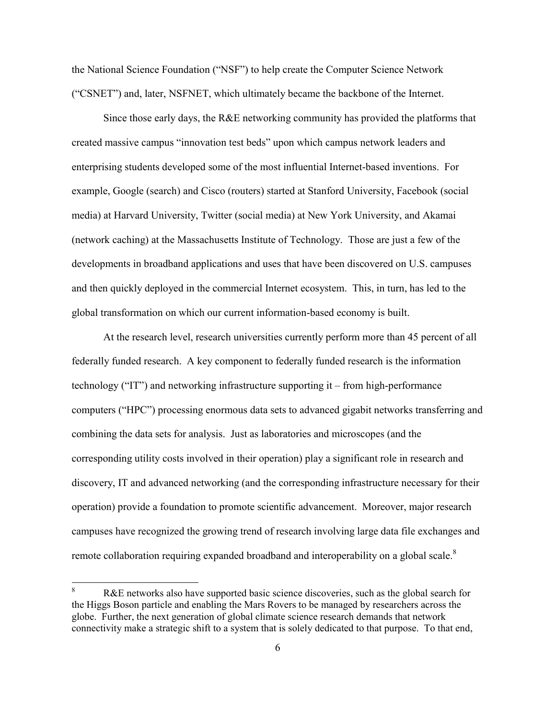the National Science Foundation ("NSF") to help create the Computer Science Network ("CSNET") and, later, NSFNET, which ultimately became the backbone of the Internet.

Since those early days, the R&E networking community has provided the platforms that created massive campus "innovation test beds" upon which campus network leaders and enterprising students developed some of the most influential Internet-based inventions. For example, Google (search) and Cisco (routers) started at Stanford University, Facebook (social media) at Harvard University, Twitter (social media) at New York University, and Akamai (network caching) at the Massachusetts Institute of Technology. Those are just a few of the developments in broadband applications and uses that have been discovered on U.S. campuses and then quickly deployed in the commercial Internet ecosystem. This, in turn, has led to the global transformation on which our current information-based economy is built.

At the research level, research universities currently perform more than 45 percent of all federally funded research. A key component to federally funded research is the information technology ("IT") and networking infrastructure supporting it – from high-performance computers ("HPC") processing enormous data sets to advanced gigabit networks transferring and combining the data sets for analysis. Just as laboratories and microscopes (and the corresponding utility costs involved in their operation) play a significant role in research and discovery, IT and advanced networking (and the corresponding infrastructure necessary for their operation) provide a foundation to promote scientific advancement. Moreover, major research campuses have recognized the growing trend of research involving large data file exchanges and remote collaboration requiring expanded broadband and interoperability on a global scale.<sup>8</sup>

R&E networks also have supported basic science discoveries, such as the global search for the Higgs Boson particle and enabling the Mars Rovers to be managed by researchers across the globe. Further, the next generation of global climate science research demands that network connectivity make a strategic shift to a system that is solely dedicated to that purpose. To that end,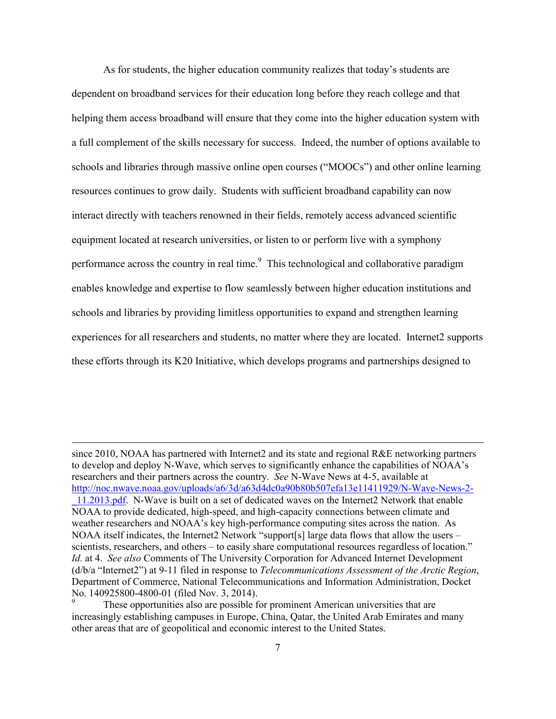As for students, the higher education community realizes that today's students are dependent on broadband services for their education long before they reach college and that helping them access broadband will ensure that they come into the higher education system with a full complement of the skills necessary for success. Indeed, the number of options available to schools and libraries through massive online open courses ("MOOCs") and other online learning resources continues to grow daily. Students with sufficient broadband capability can now interact directly with teachers renowned in their fields, remotely access advanced scientific equipment located at research universities, or listen to or perform live with a symphony performance across the country in real time.<sup>9</sup> This technological and collaborative paradigm enables knowledge and expertise to flow seamlessly between higher education institutions and schools and libraries by providing limitless opportunities to expand and strengthen learning experiences for all researchers and students, no matter where they are located. Internet2 supports these efforts through its K20 Initiative, which develops programs and partnerships designed to

since 2010, NOAA has partnered with Internet2 and its state and regional R&E networking partners to develop and deploy N-Wave, which serves to significantly enhance the capabilities of NOAA's researchers and their partners across the country. *See* N-Wave News at 4-5, available at http://noc.nwave.noaa.gov/uploads/a6/3d/a63d4dc0a90b80b507efa13e11411929/N-Wave-News-2- \_11.2013.pdf. N-Wave is built on a set of dedicated waves on the Internet2 Network that enable NOAA to provide dedicated, high-speed, and high-capacity connections between climate and weather researchers and NOAA's key high-performance computing sites across the nation. As NOAA itself indicates, the Internet2 Network "support[s] large data flows that allow the users – scientists, researchers, and others – to easily share computational resources regardless of location." *Id.* at 4. *See also* Comments of The University Corporation for Advanced Internet Development (d/b/a "Internet2") at 9-11 filed in response to *Telecommunications Assessment of the Arctic Region*, Department of Commerce, National Telecommunications and Information Administration, Docket No. 140925800-4800-01 (filed Nov. 3, 2014).

These opportunities also are possible for prominent American universities that are increasingly establishing campuses in Europe, China, Qatar, the United Arab Emirates and many other areas that are of geopolitical and economic interest to the United States.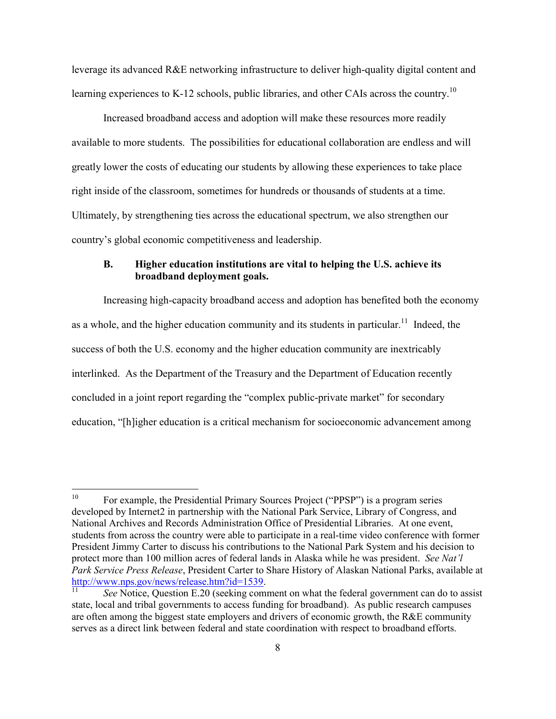leverage its advanced R&E networking infrastructure to deliver high-quality digital content and learning experiences to K-12 schools, public libraries, and other CAIs across the country.<sup>10</sup>

Increased broadband access and adoption will make these resources more readily available to more students. The possibilities for educational collaboration are endless and will greatly lower the costs of educating our students by allowing these experiences to take place right inside of the classroom, sometimes for hundreds or thousands of students at a time. Ultimately, by strengthening ties across the educational spectrum, we also strengthen our country's global economic competitiveness and leadership.

#### **B. Higher education institutions are vital to helping the U.S. achieve its broadband deployment goals.**

Increasing high-capacity broadband access and adoption has benefited both the economy as a whole, and the higher education community and its students in particular.<sup>11</sup> Indeed, the success of both the U.S. economy and the higher education community are inextricably interlinked. As the Department of the Treasury and the Department of Education recently concluded in a joint report regarding the "complex public-private market" for secondary education, "[h]igher education is a critical mechanism for socioeconomic advancement among

<sup>&</sup>lt;sup>10</sup> For example, the Presidential Primary Sources Project ("PPSP") is a program series developed by Internet2 in partnership with the National Park Service, Library of Congress, and National Archives and Records Administration Office of Presidential Libraries. At one event, students from across the country were able to participate in a real-time video conference with former President Jimmy Carter to discuss his contributions to the National Park System and his decision to protect more than 100 million acres of federal lands in Alaska while he was president. *See Nat'l Park Service Press Release*, President Carter to Share History of Alaskan National Parks, available at http://www.nps.gov/news/release.htm?id=1539.

See Notice, Question E.20 (seeking comment on what the federal government can do to assist state, local and tribal governments to access funding for broadband). As public research campuses are often among the biggest state employers and drivers of economic growth, the R&E community serves as a direct link between federal and state coordination with respect to broadband efforts.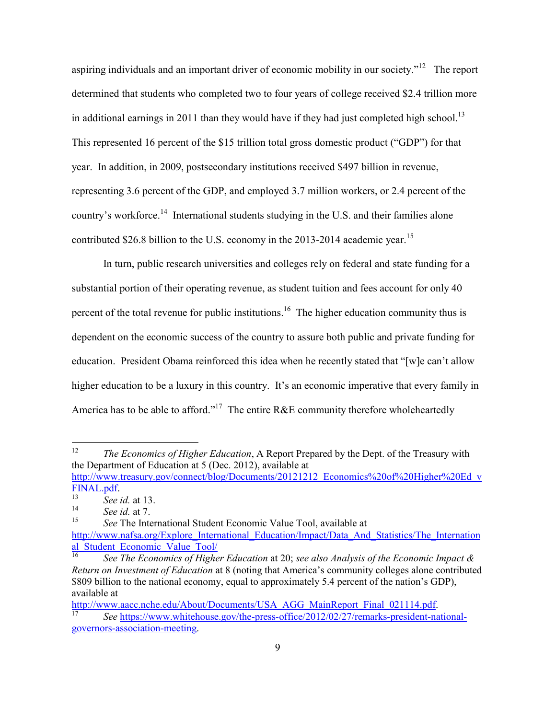aspiring individuals and an important driver of economic mobility in our society."<sup>12</sup> The report determined that students who completed two to four years of college received \$2.4 trillion more in additional earnings in 2011 than they would have if they had just completed high school.<sup>13</sup> This represented 16 percent of the \$15 trillion total gross domestic product ("GDP") for that year. In addition, in 2009, postsecondary institutions received \$497 billion in revenue, representing 3.6 percent of the GDP, and employed 3.7 million workers, or 2.4 percent of the country's workforce.<sup>14</sup> International students studying in the U.S. and their families alone contributed \$26.8 billion to the U.S. economy in the 2013-2014 academic year.<sup>15</sup>

In turn, public research universities and colleges rely on federal and state funding for a substantial portion of their operating revenue, as student tuition and fees account for only 40 percent of the total revenue for public institutions.<sup>16</sup> The higher education community thus is dependent on the economic success of the country to assure both public and private funding for education. President Obama reinforced this idea when he recently stated that "[w]e can't allow higher education to be a luxury in this country. It's an economic imperative that every family in America has to be able to afford."<sup>17</sup> The entire R&E community therefore wholeheartedly

<sup>12</sup> *The Economics of Higher Education*, A Report Prepared by the Dept. of the Treasury with the Department of Education at 5 (Dec. 2012), available at http://www.treasury.gov/connect/blog/Documents/20121212\_Economics%20of%20Higher%20Ed\_v

<sup>15</sup> *See* The International Student Economic Value Tool, available at http://www.nafsa.org/Explore\_International\_Education/Impact/Data\_And\_Statistics/The\_Internation al Student Economic Value Tool/

<sup>16</sup> *See The Economics of Higher Education* at 20; *see also Analysis of the Economic Impact & Return on Investment of Education* at 8 (noting that America's community colleges alone contributed \$809 billion to the national economy, equal to approximately 5.4 percent of the nation's GDP), available at

http://www.aacc.nche.edu/About/Documents/USA\_AGG\_MainReport\_Final\_021114.pdf. See https://www.whitehouse.gov/the-press-office/2012/02/27/remarks-president-national-

FINAL.pdf.

<sup>&</sup>lt;sup>13</sup> *See id.* at 13.

 $\frac{14}{15}$  *See id.* at 7.

governors-association-meeting.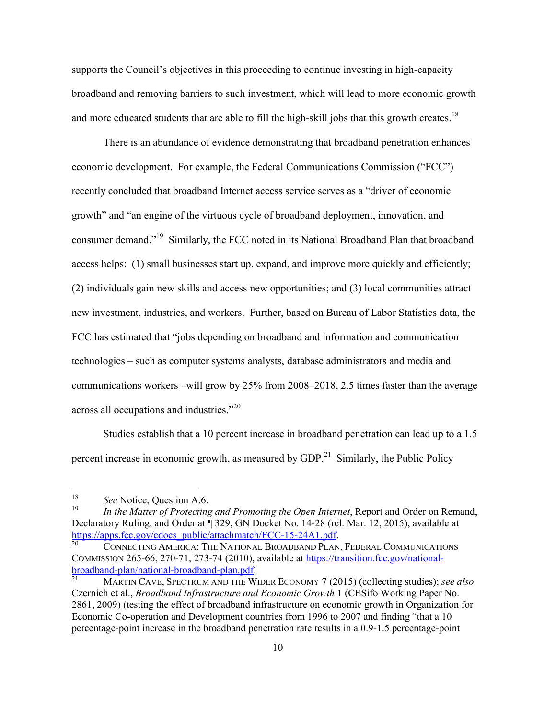supports the Council's objectives in this proceeding to continue investing in high-capacity broadband and removing barriers to such investment, which will lead to more economic growth and more educated students that are able to fill the high-skill jobs that this growth creates.<sup>18</sup>

There is an abundance of evidence demonstrating that broadband penetration enhances economic development. For example, the Federal Communications Commission ("FCC") recently concluded that broadband Internet access service serves as a "driver of economic growth" and "an engine of the virtuous cycle of broadband deployment, innovation, and consumer demand."<sup>19</sup> Similarly, the FCC noted in its National Broadband Plan that broadband access helps: (1) small businesses start up, expand, and improve more quickly and efficiently; (2) individuals gain new skills and access new opportunities; and (3) local communities attract new investment, industries, and workers. Further, based on Bureau of Labor Statistics data, the FCC has estimated that "jobs depending on broadband and information and communication technologies – such as computer systems analysts, database administrators and media and communications workers –will grow by 25% from 2008–2018, 2.5 times faster than the average across all occupations and industries."<sup>20</sup>

Studies establish that a 10 percent increase in broadband penetration can lead up to a 1.5 percent increase in economic growth, as measured by  $GDP<sup>21</sup>$  Similarly, the Public Policy

<sup>&</sup>lt;sup>18</sup> *See* Notice, Question A.6.

In the Matter of Protecting and Promoting the Open Internet, Report and Order on Remand, Declaratory Ruling, and Order at ¶ 329, GN Docket No. 14-28 (rel. Mar. 12, 2015), available at https://apps.fcc.gov/edocs\_public/attachmatch/FCC-15-24A1.pdf.

<sup>20</sup> CONNECTING AMERICA: THE NATIONAL BROADBAND PLAN, FEDERAL COMMUNICATIONS COMMISSION 265-66, 270-71, 273-74 (2010), available at https://transition.fcc.gov/nationalbroadband-plan/national-broadband-plan.pdf.<br>
MARTIN CAVE SPECTRUM AND THE W

<sup>21</sup> MARTIN CAVE, SPECTRUM AND THE WIDER ECONOMY 7 (2015) (collecting studies); *see also* Czernich et al., *Broadband Infrastructure and Economic Growth* 1 (CESifo Working Paper No. 2861, 2009) (testing the effect of broadband infrastructure on economic growth in Organization for Economic Co-operation and Development countries from 1996 to 2007 and finding "that a 10 percentage-point increase in the broadband penetration rate results in a 0.9-1.5 percentage-point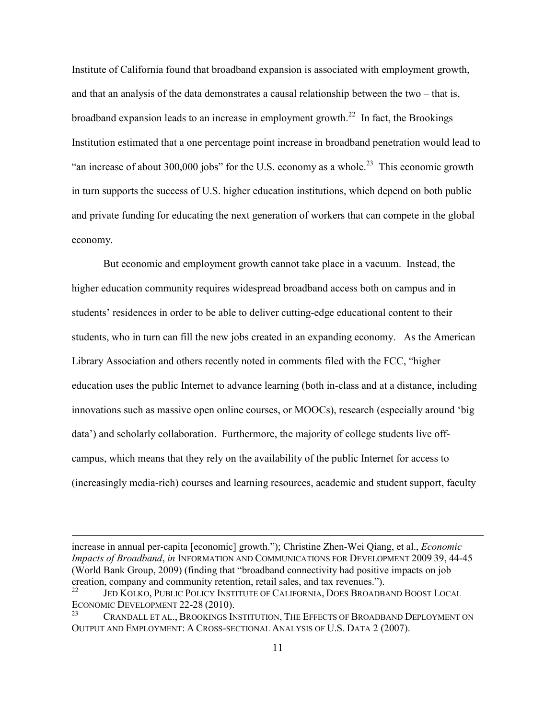Institute of California found that broadband expansion is associated with employment growth, and that an analysis of the data demonstrates a causal relationship between the two – that is, broadband expansion leads to an increase in employment growth.<sup>22</sup> In fact, the Brookings Institution estimated that a one percentage point increase in broadband penetration would lead to "an increase of about 300,000 jobs" for the U.S. economy as a whole.<sup>23</sup> This economic growth in turn supports the success of U.S. higher education institutions, which depend on both public and private funding for educating the next generation of workers that can compete in the global economy.

But economic and employment growth cannot take place in a vacuum. Instead, the higher education community requires widespread broadband access both on campus and in students' residences in order to be able to deliver cutting-edge educational content to their students, who in turn can fill the new jobs created in an expanding economy. As the American Library Association and others recently noted in comments filed with the FCC, "higher education uses the public Internet to advance learning (both in-class and at a distance, including innovations such as massive open online courses, or MOOCs), research (especially around 'big data') and scholarly collaboration. Furthermore, the majority of college students live offcampus, which means that they rely on the availability of the public Internet for access to (increasingly media-rich) courses and learning resources, academic and student support, faculty

increase in annual per-capita [economic] growth."); Christine Zhen-Wei Qiang, et al., *Economic Impacts of Broadband*, *in* INFORMATION AND COMMUNICATIONS FOR DEVELOPMENT 2009 39, 44-45 (World Bank Group, 2009) (finding that "broadband connectivity had positive impacts on job creation, company and community retention, retail sales, and tax revenues.").

JED KOLKO, PUBLIC POLICY INSTITUTE OF CALIFORNIA, DOES BROADBAND BOOST LOCAL ECONOMIC DEVELOPMENT 22-28 (2010).

CRANDALL ET AL., BROOKINGS INSTITUTION, THE EFFECTS OF BROADBAND DEPLOYMENT ON OUTPUT AND EMPLOYMENT: A CROSS-SECTIONAL ANALYSIS OF U.S. DATA 2 (2007).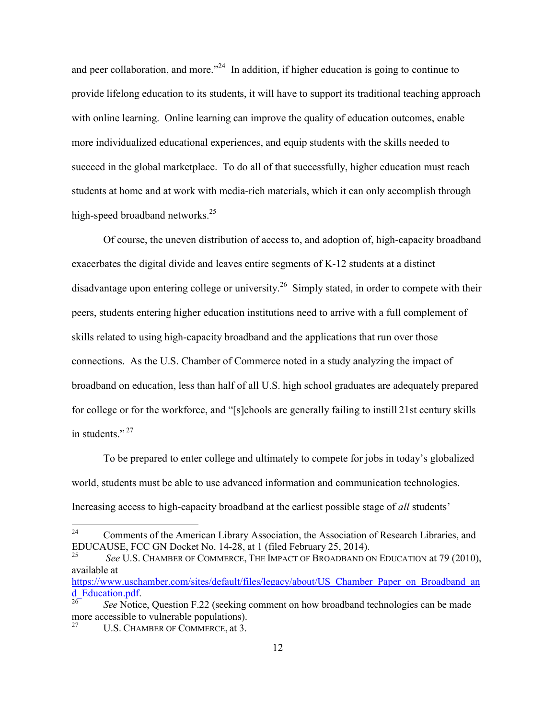and peer collaboration, and more."<sup>24</sup> In addition, if higher education is going to continue to provide lifelong education to its students, it will have to support its traditional teaching approach with online learning. Online learning can improve the quality of education outcomes, enable more individualized educational experiences, and equip students with the skills needed to succeed in the global marketplace. To do all of that successfully, higher education must reach students at home and at work with media-rich materials, which it can only accomplish through high-speed broadband networks.<sup>25</sup>

Of course, the uneven distribution of access to, and adoption of, high-capacity broadband exacerbates the digital divide and leaves entire segments of K-12 students at a distinct disadvantage upon entering college or university.<sup>26</sup> Simply stated, in order to compete with their peers, students entering higher education institutions need to arrive with a full complement of skills related to using high-capacity broadband and the applications that run over those connections. As the U.S. Chamber of Commerce noted in a study analyzing the impact of broadband on education, less than half of all U.S. high school graduates are adequately prepared for college or for the workforce, and "[s]chools are generally failing to instill 21st century skills in students."<sup>27</sup>

To be prepared to enter college and ultimately to compete for jobs in today's globalized world, students must be able to use advanced information and communication technologies. Increasing access to high-capacity broadband at the earliest possible stage of *all* students'

<sup>&</sup>lt;sup>24</sup> Comments of the American Library Association, the Association of Research Libraries, and EDUCAUSE, FCC GN Docket No. 14-28, at 1 (filed February 25, 2014).

<sup>25</sup> *See* U.S. CHAMBER OF COMMERCE, THE IMPACT OF BROADBAND ON EDUCATION at 79 (2010), available at

https://www.uschamber.com/sites/default/files/legacy/about/US\_Chamber\_Paper\_on\_Broadband\_an d\_Education.pdf.

<sup>26</sup> *See* Notice, Question F.22 (seeking comment on how broadband technologies can be made more accessible to vulnerable populations).<br> $^{27}$   $\phantom{^{27}$  LLS. CUAMPER OF COMPUTER at 2.

U.S. CHAMBER OF COMMERCE, at 3.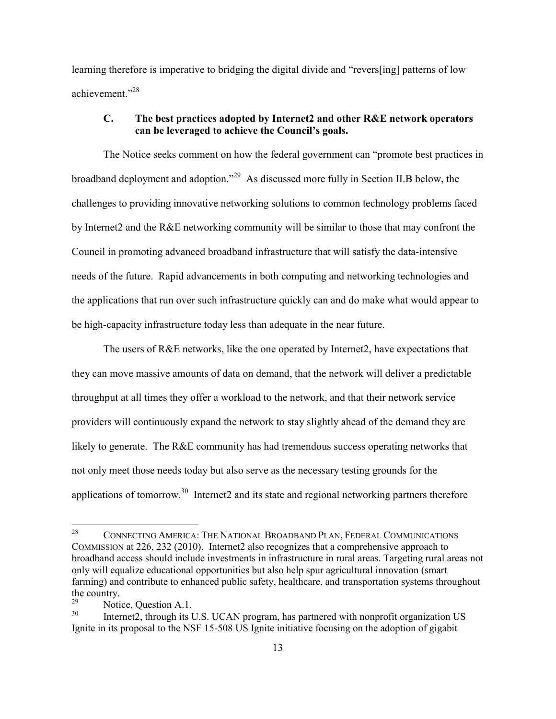learning therefore is imperative to bridging the digital divide and "revers[ing] patterns of low achievement."<sup>28</sup>

#### **C. The best practices adopted by Internet2 and other R&E network operators can be leveraged to achieve the Council's goals.**

The Notice seeks comment on how the federal government can "promote best practices in broadband deployment and adoption."<sup>29</sup> As discussed more fully in Section II.B below, the challenges to providing innovative networking solutions to common technology problems faced by Internet2 and the R&E networking community will be similar to those that may confront the Council in promoting advanced broadband infrastructure that will satisfy the data-intensive needs of the future. Rapid advancements in both computing and networking technologies and the applications that run over such infrastructure quickly can and do make what would appear to be high-capacity infrastructure today less than adequate in the near future.

The users of R&E networks, like the one operated by Internet2, have expectations that they can move massive amounts of data on demand, that the network will deliver a predictable throughput at all times they offer a workload to the network, and that their network service providers will continuously expand the network to stay slightly ahead of the demand they are likely to generate. The R&E community has had tremendous success operating networks that not only meet those needs today but also serve as the necessary testing grounds for the applications of tomorrow.<sup>30</sup> Internet2 and its state and regional networking partners therefore

<sup>&</sup>lt;sup>28</sup> CONNECTING AMERICA: THE NATIONAL BROADBAND PLAN, FEDERAL COMMUNICATIONS COMMISSION at 226, 232 (2010). Internet2 also recognizes that a comprehensive approach to broadband access should include investments in infrastructure in rural areas. Targeting rural areas not only will equalize educational opportunities but also help spur agricultural innovation (smart farming) and contribute to enhanced public safety, healthcare, and transportation systems throughout the country.

 $^{29}$  Notice, Question A.1.<br>  $^{30}$  Internet? through its I

Internet2, through its U.S. UCAN program, has partnered with nonprofit organization US Ignite in its proposal to the NSF 15-508 US Ignite initiative focusing on the adoption of gigabit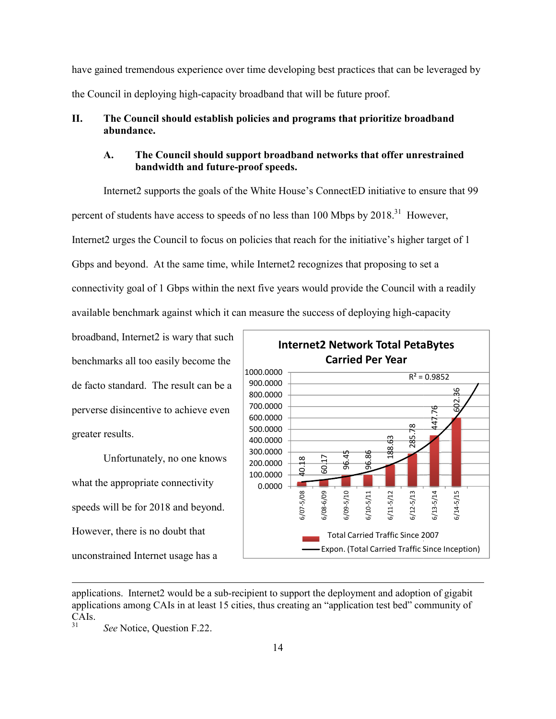have gained tremendous experience over time developing best practices that can be leveraged by the Council in deploying high-capacity broadband that will be future proof.

# II. The Council should establish policies and programs that prioritize broadband<br>
abundance.<br> **A.** The Council should support broadband networks that offer unrestrain<br>
bandwidth and future-proof speeds. **abundance.**

#### **A. The Council should support broadband networks that offer unrestrained bandwidth and future**

Internet2 supports the goals of the White House's ConnectED initiative to ensure that 99 percent of students have access to speeds of no less than 100 Mbps by  $2018$ <sup>31</sup> However, Internet2 urges the Council to focus on policies that reach for the initiative's higher target of 1 Gbps and beyond. At the same time, while Internet2 recognizes that proposing to set a connectivity goal of 1 Gbps within the next five years would provide the Council with a readily available benchmark against which it can measure the success of deploying high-capacity le Internet2 recognizes that proposing to set a<br>xt five years would provide the Council with a r<br>measure the success of deploying high-capacity

broadband, Internet2 is wary that such benchmarks all too easily become the de facto standard. The result can be a perverse disincentive to achieve even greater results.

Unfortunately, no one knows what the appropriate connectivity speeds will be for 2018 and beyond. However, there is no doubt that unconstrained Internet usage has a



applications. Internet2 would be a sub-recipient to support the deployment and adoption of gigabit applications among CAIs in at least 15 cities, thus creating an "application test bed" community of  $CAIs.$ 

See Notice, Question F.22.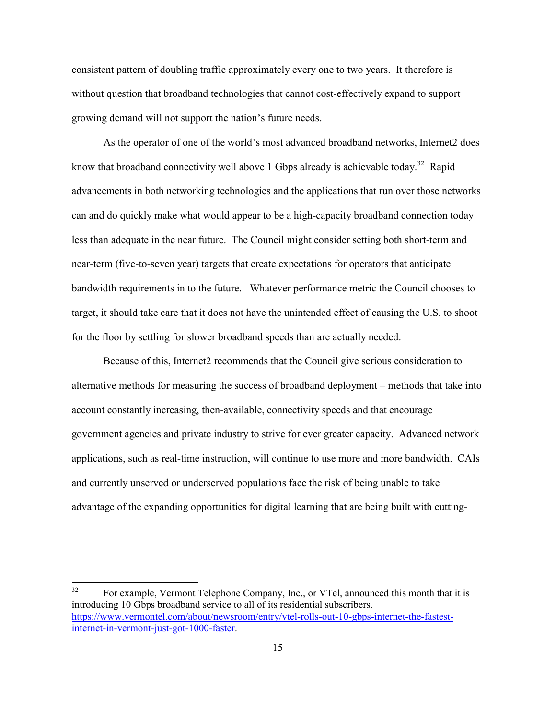consistent pattern of doubling traffic approximately every one to two years. It therefore is without question that broadband technologies that cannot cost-effectively expand to support growing demand will not support the nation's future needs.

As the operator of one of the world's most advanced broadband networks, Internet2 does know that broadband connectivity well above 1 Gbps already is achievable today.<sup>32</sup> Rapid advancements in both networking technologies and the applications that run over those networks can and do quickly make what would appear to be a high-capacity broadband connection today less than adequate in the near future. The Council might consider setting both short-term and near-term (five-to-seven year) targets that create expectations for operators that anticipate bandwidth requirements in to the future. Whatever performance metric the Council chooses to target, it should take care that it does not have the unintended effect of causing the U.S. to shoot for the floor by settling for slower broadband speeds than are actually needed.

Because of this, Internet2 recommends that the Council give serious consideration to alternative methods for measuring the success of broadband deployment – methods that take into account constantly increasing, then-available, connectivity speeds and that encourage government agencies and private industry to strive for ever greater capacity. Advanced network applications, such as real-time instruction, will continue to use more and more bandwidth. CAIs and currently unserved or underserved populations face the risk of being unable to take advantage of the expanding opportunities for digital learning that are being built with cutting-

<sup>&</sup>lt;sup>32</sup> For example, Vermont Telephone Company, Inc., or VTel, announced this month that it is introducing 10 Gbps broadband service to all of its residential subscribers. https://www.vermontel.com/about/newsroom/entry/vtel-rolls-out-10-gbps-internet-the-fastestinternet-in-vermont-just-got-1000-faster.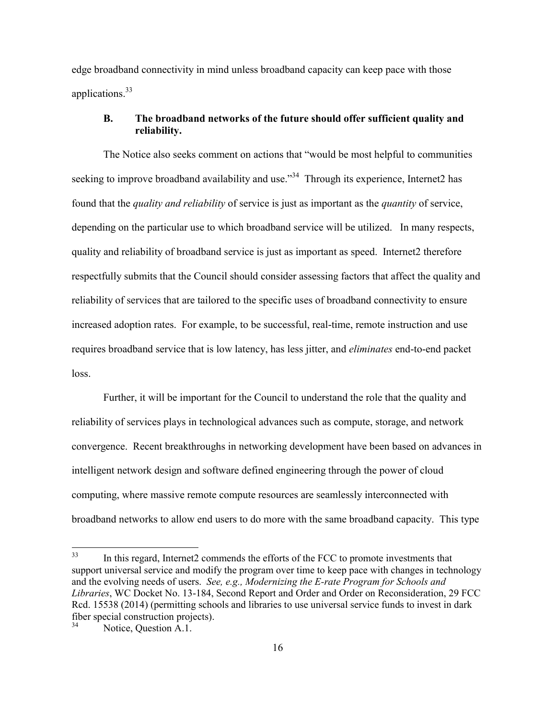edge broadband connectivity in mind unless broadband capacity can keep pace with those applications.<sup>33</sup>

#### **B. The broadband networks of the future should offer sufficient quality and reliability.**

The Notice also seeks comment on actions that "would be most helpful to communities seeking to improve broadband availability and use.<sup>34</sup> Through its experience, Internet 2 has found that the *quality and reliability* of service is just as important as the *quantity* of service, depending on the particular use to which broadband service will be utilized. In many respects, quality and reliability of broadband service is just as important as speed. Internet2 therefore respectfully submits that the Council should consider assessing factors that affect the quality and reliability of services that are tailored to the specific uses of broadband connectivity to ensure increased adoption rates. For example, to be successful, real-time, remote instruction and use requires broadband service that is low latency, has less jitter, and *eliminates* end-to-end packet loss.

Further, it will be important for the Council to understand the role that the quality and reliability of services plays in technological advances such as compute, storage, and network convergence. Recent breakthroughs in networking development have been based on advances in intelligent network design and software defined engineering through the power of cloud computing, where massive remote compute resources are seamlessly interconnected with broadband networks to allow end users to do more with the same broadband capacity. This type

<sup>&</sup>lt;sup>33</sup> In this regard, Internet2 commends the efforts of the FCC to promote investments that support universal service and modify the program over time to keep pace with changes in technology and the evolving needs of users. *See, e.g., Modernizing the E-rate Program for Schools and Libraries*, WC Docket No. 13-184, Second Report and Order and Order on Reconsideration, 29 FCC Rcd. 15538 (2014) (permitting schools and libraries to use universal service funds to invest in dark fiber special construction projects).<br> $^{34}$  Notice Overtion A 1

Notice, Question A.1.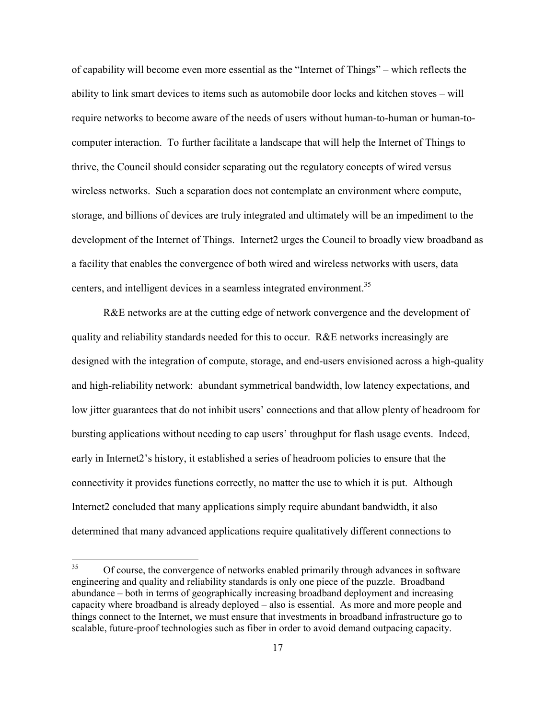of capability will become even more essential as the "Internet of Things" – which reflects the ability to link smart devices to items such as automobile door locks and kitchen stoves – will require networks to become aware of the needs of users without human-to-human or human-tocomputer interaction. To further facilitate a landscape that will help the Internet of Things to thrive, the Council should consider separating out the regulatory concepts of wired versus wireless networks. Such a separation does not contemplate an environment where compute, storage, and billions of devices are truly integrated and ultimately will be an impediment to the development of the Internet of Things. Internet2 urges the Council to broadly view broadband as a facility that enables the convergence of both wired and wireless networks with users, data centers, and intelligent devices in a seamless integrated environment.<sup>35</sup>

R&E networks are at the cutting edge of network convergence and the development of quality and reliability standards needed for this to occur. R&E networks increasingly are designed with the integration of compute, storage, and end-users envisioned across a high-quality and high-reliability network: abundant symmetrical bandwidth, low latency expectations, and low jitter guarantees that do not inhibit users' connections and that allow plenty of headroom for bursting applications without needing to cap users' throughput for flash usage events. Indeed, early in Internet2's history, it established a series of headroom policies to ensure that the connectivity it provides functions correctly, no matter the use to which it is put. Although Internet2 concluded that many applications simply require abundant bandwidth, it also determined that many advanced applications require qualitatively different connections to

<sup>&</sup>lt;sup>35</sup> Of course, the convergence of networks enabled primarily through advances in software engineering and quality and reliability standards is only one piece of the puzzle. Broadband abundance – both in terms of geographically increasing broadband deployment and increasing capacity where broadband is already deployed – also is essential. As more and more people and things connect to the Internet, we must ensure that investments in broadband infrastructure go to scalable, future-proof technologies such as fiber in order to avoid demand outpacing capacity.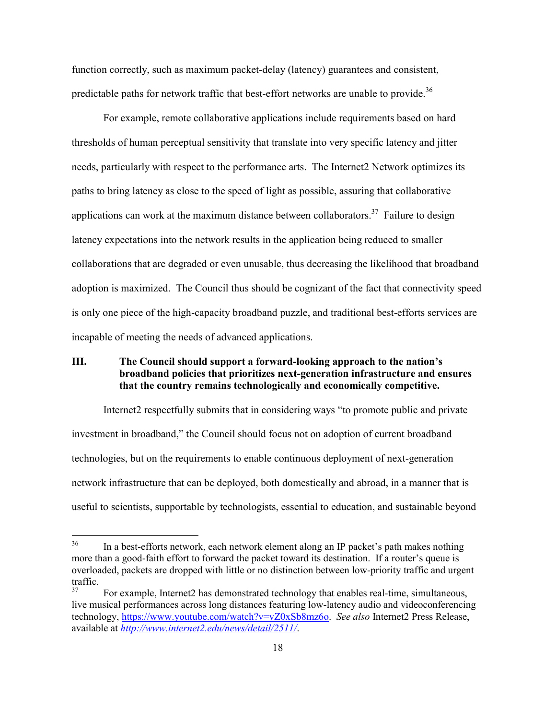function correctly, such as maximum packet-delay (latency) guarantees and consistent, predictable paths for network traffic that best-effort networks are unable to provide.<sup>36</sup>

For example, remote collaborative applications include requirements based on hard thresholds of human perceptual sensitivity that translate into very specific latency and jitter needs, particularly with respect to the performance arts. The Internet2 Network optimizes its paths to bring latency as close to the speed of light as possible, assuring that collaborative applications can work at the maximum distance between collaborators.<sup>37</sup> Failure to design latency expectations into the network results in the application being reduced to smaller collaborations that are degraded or even unusable, thus decreasing the likelihood that broadband adoption is maximized. The Council thus should be cognizant of the fact that connectivity speed is only one piece of the high-capacity broadband puzzle, and traditional best-efforts services are incapable of meeting the needs of advanced applications.

### **III. The Council should support a forward-looking approach to the nation's broadband policies that prioritizes next-generation infrastructure and ensures that the country remains technologically and economically competitive.**

Internet2 respectfully submits that in considering ways "to promote public and private investment in broadband," the Council should focus not on adoption of current broadband technologies, but on the requirements to enable continuous deployment of next-generation network infrastructure that can be deployed, both domestically and abroad, in a manner that is useful to scientists, supportable by technologists, essential to education, and sustainable beyond

<sup>&</sup>lt;sup>36</sup> In a best-efforts network, each network element along an IP packet's path makes nothing more than a good-faith effort to forward the packet toward its destination. If a router's queue is overloaded, packets are dropped with little or no distinction between low-priority traffic and urgent traffic.<br>37

<sup>37</sup> For example, Internet2 has demonstrated technology that enables real-time, simultaneous, live musical performances across long distances featuring low-latency audio and videoconferencing technology, https://www.youtube.com/watch?v=vZ0xSb8mz6o. *See also* Internet2 Press Release, available at *http://www.internet2.edu/news/detail/2511/*.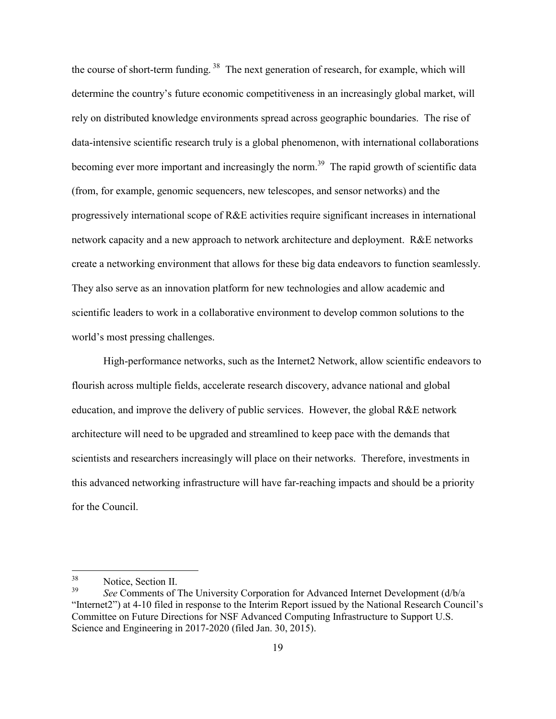the course of short-term funding.<sup>38</sup> The next generation of research, for example, which will determine the country's future economic competitiveness in an increasingly global market, will rely on distributed knowledge environments spread across geographic boundaries. The rise of data-intensive scientific research truly is a global phenomenon, with international collaborations becoming ever more important and increasingly the norm.<sup>39</sup> The rapid growth of scientific data (from, for example, genomic sequencers, new telescopes, and sensor networks) and the progressively international scope of R&E activities require significant increases in international network capacity and a new approach to network architecture and deployment. R&E networks create a networking environment that allows for these big data endeavors to function seamlessly. They also serve as an innovation platform for new technologies and allow academic and scientific leaders to work in a collaborative environment to develop common solutions to the world's most pressing challenges.

High-performance networks, such as the Internet2 Network, allow scientific endeavors to flourish across multiple fields, accelerate research discovery, advance national and global education, and improve the delivery of public services. However, the global R&E network architecture will need to be upgraded and streamlined to keep pace with the demands that scientists and researchers increasingly will place on their networks. Therefore, investments in this advanced networking infrastructure will have far-reaching impacts and should be a priority for the Council.

 $38$  Notice, Section II.<br> $39$  See Commonts of 5

<sup>39</sup> *See* Comments of The University Corporation for Advanced Internet Development (d/b/a "Internet2") at 4-10 filed in response to the Interim Report issued by the National Research Council's Committee on Future Directions for NSF Advanced Computing Infrastructure to Support U.S. Science and Engineering in 2017-2020 (filed Jan. 30, 2015).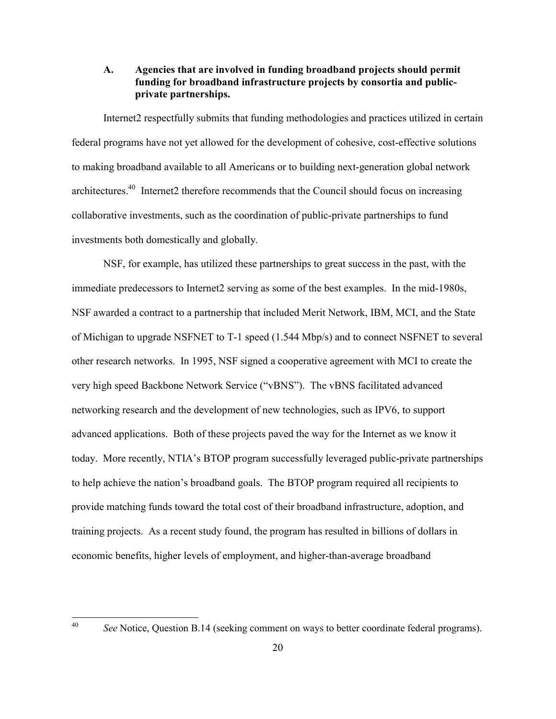**A. Agencies that are involved in funding broadband projects should permit funding for broadband infrastructure projects by consortia and publicprivate partnerships.**

Internet2 respectfully submits that funding methodologies and practices utilized in certain federal programs have not yet allowed for the development of cohesive, cost-effective solutions to making broadband available to all Americans or to building next-generation global network architectures.<sup>40</sup> Internet2 therefore recommends that the Council should focus on increasing collaborative investments, such as the coordination of public-private partnerships to fund investments both domestically and globally.

NSF, for example, has utilized these partnerships to great success in the past, with the immediate predecessors to Internet2 serving as some of the best examples. In the mid-1980s, NSF awarded a contract to a partnership that included Merit Network, IBM, MCI, and the State of Michigan to upgrade NSFNET to T-1 speed (1.544 Mbp/s) and to connect NSFNET to several other research networks. In 1995, NSF signed a cooperative agreement with MCI to create the very high speed Backbone Network Service ("vBNS"). The vBNS facilitated advanced networking research and the development of new technologies, such as IPV6, to support advanced applications. Both of these projects paved the way for the Internet as we know it today. More recently, NTIA's BTOP program successfully leveraged public-private partnerships to help achieve the nation's broadband goals. The BTOP program required all recipients to provide matching funds toward the total cost of their broadband infrastructure, adoption, and training projects. As a recent study found, the program has resulted in billions of dollars in economic benefits, higher levels of employment, and higher-than-average broadband

<sup>&</sup>lt;sup>40</sup> *See* Notice, Question B.14 (seeking comment on ways to better coordinate federal programs).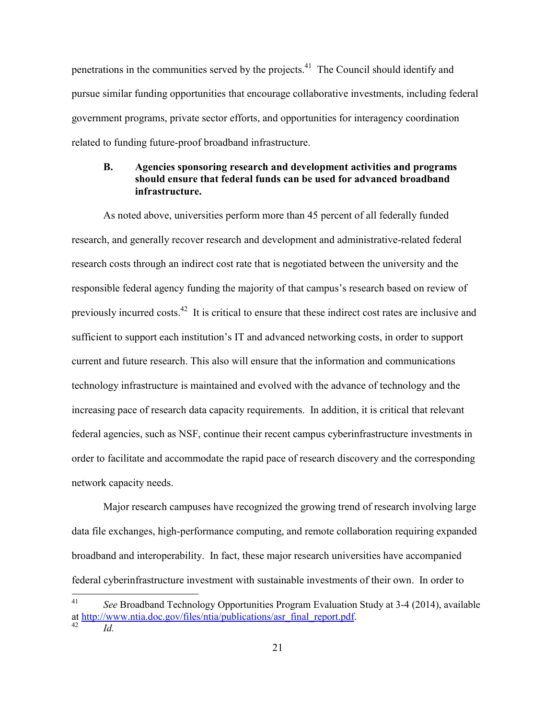penetrations in the communities served by the projects.<sup>41</sup> The Council should identify and pursue similar funding opportunities that encourage collaborative investments, including federal government programs, private sector efforts, and opportunities for interagency coordination related to funding future-proof broadband infrastructure.

#### **B. Agencies sponsoring research and development activities and programs should ensure that federal funds can be used for advanced broadband infrastructure.**

As noted above, universities perform more than 45 percent of all federally funded research, and generally recover research and development and administrative-related federal research costs through an indirect cost rate that is negotiated between the university and the responsible federal agency funding the majority of that campus's research based on review of previously incurred costs.<sup>42</sup> It is critical to ensure that these indirect cost rates are inclusive and sufficient to support each institution's IT and advanced networking costs, in order to support current and future research. This also will ensure that the information and communications technology infrastructure is maintained and evolved with the advance of technology and the increasing pace of research data capacity requirements. In addition, it is critical that relevant federal agencies, such as NSF, continue their recent campus cyberinfrastructure investments in order to facilitate and accommodate the rapid pace of research discovery and the corresponding network capacity needs.

Major research campuses have recognized the growing trend of research involving large data file exchanges, high-performance computing, and remote collaboration requiring expanded broadband and interoperability. In fact, these major research universities have accompanied federal cyberinfrastructure investment with sustainable investments of their own. In order to

<sup>41</sup> *See* Broadband Technology Opportunities Program Evaluation Study at 3-4 (2014), available at http://www.ntia.doc.gov/files/ntia/publications/asr\_final\_report.pdf. *Id.*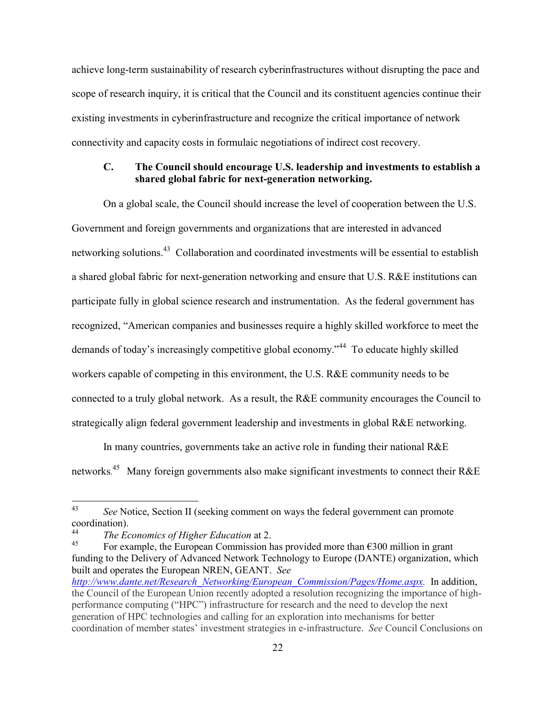achieve long-term sustainability of research cyberinfrastructures without disrupting the pace and scope of research inquiry, it is critical that the Council and its constituent agencies continue their existing investments in cyberinfrastructure and recognize the critical importance of network connectivity and capacity costs in formulaic negotiations of indirect cost recovery.

### **C. The Council should encourage U.S. leadership and investments to establish a shared global fabric for next-generation networking.**

On a global scale, the Council should increase the level of cooperation between the U.S. Government and foreign governments and organizations that are interested in advanced networking solutions.<sup>43</sup> Collaboration and coordinated investments will be essential to establish a shared global fabric for next-generation networking and ensure that U.S. R&E institutions can participate fully in global science research and instrumentation. As the federal government has recognized, "American companies and businesses require a highly skilled workforce to meet the demands of today's increasingly competitive global economy."<sup>44</sup> To educate highly skilled workers capable of competing in this environment, the U.S. R&E community needs to be connected to a truly global network. As a result, the R&E community encourages the Council to strategically align federal government leadership and investments in global R&E networking.

In many countries, governments take an active role in funding their national R&E networks.<sup>45</sup> Many foreign governments also make significant investments to connect their R&E

<sup>43</sup> *See* Notice, Section II (seeking comment on ways the federal government can promote coordination).

<sup>44</sup> *The Economics of Higher Education* at 2.

For example, the European Commission has provided more than  $\epsilon$ 300 million in grant funding to the Delivery of Advanced Network Technology to Europe (DANTE) organization, which built and operates the European NREN, GEANT. *See http://www.dante.net/Research\_Networking/European\_Commission/Pages/Home.aspx.* In addition, the Council of the European Union recently adopted a resolution recognizing the importance of highperformance computing ("HPC") infrastructure for research and the need to develop the next generation of HPC technologies and calling for an exploration into mechanisms for better coordination of member states' investment strategies in e-infrastructure. *See* Council Conclusions on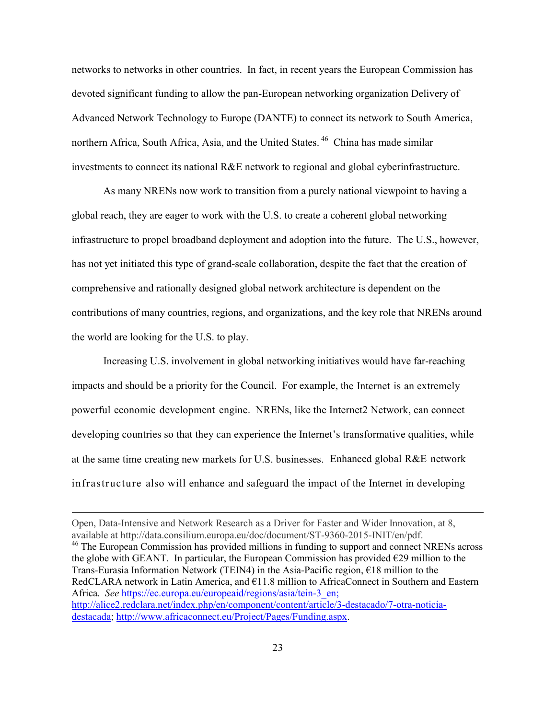networks to networks in other countries. In fact, in recent years the European Commission has devoted significant funding to allow the pan-European networking organization Delivery of Advanced Network Technology to Europe (DANTE) to connect its network to South America, northern Africa, South Africa, Asia, and the United States.<sup>46</sup> China has made similar investments to connect its national R&E network to regional and global cyberinfrastructure.

As many NRENs now work to transition from a purely national viewpoint to having a global reach, they are eager to work with the U.S. to create a coherent global networking infrastructure to propel broadband deployment and adoption into the future. The U.S., however, has not yet initiated this type of grand-scale collaboration, despite the fact that the creation of comprehensive and rationally designed global network architecture is dependent on the contributions of many countries, regions, and organizations, and the key role that NRENs around the world are looking for the U.S. to play.

Increasing U.S. involvement in global networking initiatives would have far-reaching impacts and should be a priority for the Council. For example, the Internet is an extremely powerful economic development engine. NRENs, like the Internet2 Network, can connect developing countries so that they can experience the Internet's transformative qualities, while at the same time creating new markets for U.S. businesses. Enhanced global R&E network infrastructure also will enhance and safeguard the impact of the Internet in developing

Open, Data-Intensive and Network Research as a Driver for Faster and Wider Innovation, at 8, available at http://data.consilium.europa.eu/doc/document/ST-9360-2015-INIT/en/pdf. <sup>46</sup> The European Commission has provided millions in funding to support and connect NRENs across the globe with GEANT. In particular, the European Commission has provided  $E29$  million to the Trans-Eurasia Information Network (TEIN4) in the Asia-Pacific region, €18 million to the RedCLARA network in Latin America, and  $E11.8$  million to AfricaConnect in Southern and Eastern Africa. *See* https://ec.europa.eu/europeaid/regions/asia/tein-3 en; http://alice2.redclara.net/index.php/en/component/content/article/3-destacado/7-otra-noticiadestacada; http://www.africaconnect.eu/Project/Pages/Funding.aspx.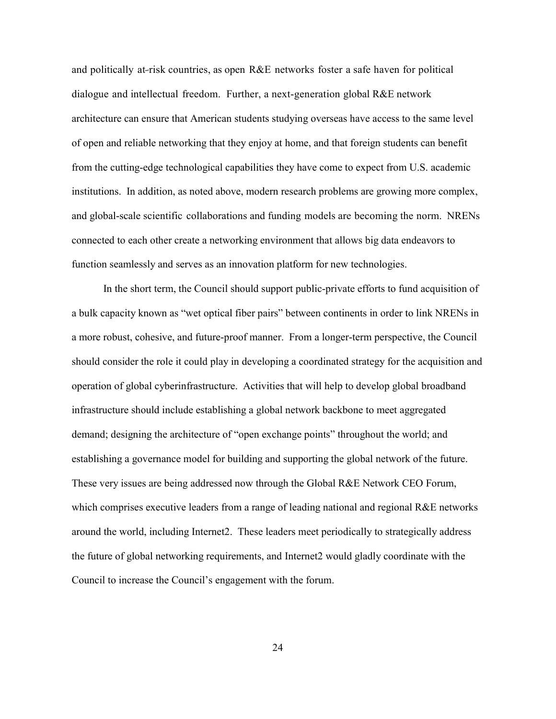and politically at-risk countries, as open  $R\&E$  networks foster a safe haven for political dialogue and intellectual freedom. Further, a next-generation global R&E network architecture can ensure that American students studying overseas have access to the same level of open and reliable networking that they enjoy at home, and that foreign students can benefit from the cutting-edge technological capabilities they have come to expect from U.S. academic institutions. In addition, as noted above, modern research problems are growing more complex, and global-scale scientific collaborations and funding models are becoming the norm. NRENs connected to each other create a networking environment that allows big data endeavors to function seamlessly and serves as an innovation platform for new technologies.

In the short term, the Council should support public-private efforts to fund acquisition of a bulk capacity known as "wet optical fiber pairs" between continents in order to link NRENs in a more robust, cohesive, and future-proof manner. From a longer-term perspective, the Council should consider the role it could play in developing a coordinated strategy for the acquisition and operation of global cyberinfrastructure. Activities that will help to develop global broadband infrastructure should include establishing a global network backbone to meet aggregated demand; designing the architecture of "open exchange points" throughout the world; and establishing a governance model for building and supporting the global network of the future. These very issues are being addressed now through the Global R&E Network CEO Forum, which comprises executive leaders from a range of leading national and regional R&E networks around the world, including Internet2. These leaders meet periodically to strategically address the future of global networking requirements, and Internet2 would gladly coordinate with the Council to increase the Council's engagement with the forum.

24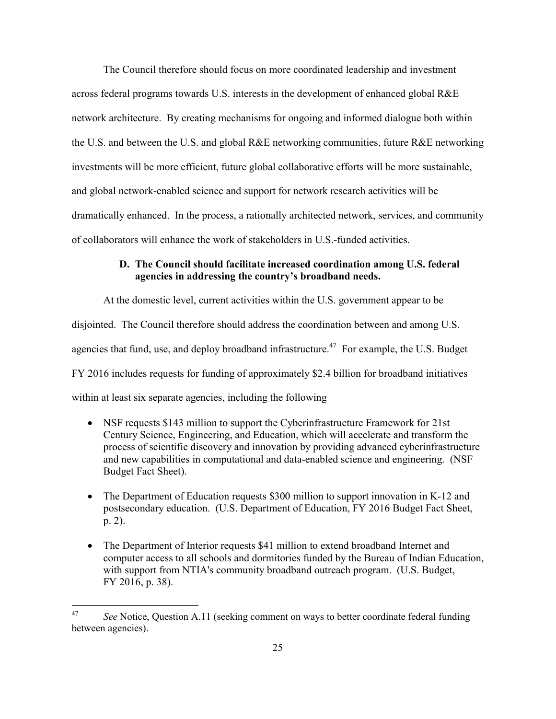The Council therefore should focus on more coordinated leadership and investment across federal programs towards U.S. interests in the development of enhanced global R&E network architecture. By creating mechanisms for ongoing and informed dialogue both within the U.S. and between the U.S. and global R&E networking communities, future R&E networking investments will be more efficient, future global collaborative efforts will be more sustainable, and global network-enabled science and support for network research activities will be dramatically enhanced. In the process, a rationally architected network, services, and community of collaborators will enhance the work of stakeholders in U.S.-funded activities.

#### **D. The Council should facilitate increased coordination among U.S. federal agencies in addressing the country's broadband needs.**

At the domestic level, current activities within the U.S. government appear to be disjointed. The Council therefore should address the coordination between and among U.S. agencies that fund, use, and deploy broadband infrastructure.<sup>47</sup> For example, the U.S. Budget FY 2016 includes requests for funding of approximately \$2.4 billion for broadband initiatives within at least six separate agencies, including the following

- NSF requests \$143 million to support the Cyberinfrastructure Framework for 21st Century Science, Engineering, and Education, which will accelerate and transform the process of scientific discovery and innovation by providing advanced cyberinfrastructure and new capabilities in computational and data-enabled science and engineering. (NSF Budget Fact Sheet).
- The Department of Education requests \$300 million to support innovation in K-12 and postsecondary education. (U.S. Department of Education, FY 2016 Budget Fact Sheet, p. 2).
- The Department of Interior requests \$41 million to extend broadband Internet and computer access to all schools and dormitories funded by the Bureau of Indian Education, with support from NTIA's community broadband outreach program. (U.S. Budget, FY 2016, p. 38).

<sup>47</sup> *See* Notice, Question A.11 (seeking comment on ways to better coordinate federal funding between agencies).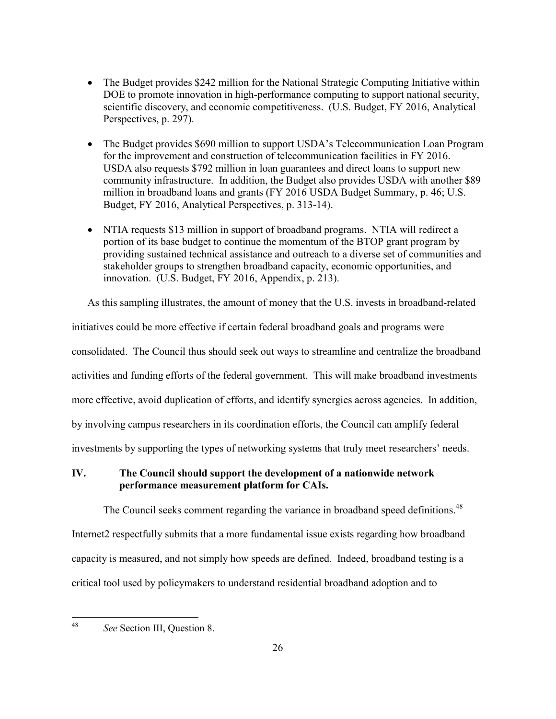- The Budget provides \$242 million for the National Strategic Computing Initiative within DOE to promote innovation in high-performance computing to support national security, scientific discovery, and economic competitiveness. (U.S. Budget, FY 2016, Analytical Perspectives, p. 297).
- The Budget provides \$690 million to support USDA's Telecommunication Loan Program for the improvement and construction of telecommunication facilities in FY 2016. USDA also requests \$792 million in loan guarantees and direct loans to support new community infrastructure. In addition, the Budget also provides USDA with another \$89 million in broadband loans and grants (FY 2016 USDA Budget Summary, p. 46; U.S. Budget, FY 2016, Analytical Perspectives, p. 313-14).
- NTIA requests \$13 million in support of broadband programs. NTIA will redirect a portion of its base budget to continue the momentum of the BTOP grant program by providing sustained technical assistance and outreach to a diverse set of communities and stakeholder groups to strengthen broadband capacity, economic opportunities, and innovation. (U.S. Budget, FY 2016, Appendix, p. 213).

As this sampling illustrates, the amount of money that the U.S. invests in broadband-related initiatives could be more effective if certain federal broadband goals and programs were consolidated. The Council thus should seek out ways to streamline and centralize the broadband activities and funding efforts of the federal government. This will make broadband investments more effective, avoid duplication of efforts, and identify synergies across agencies. In addition, by involving campus researchers in its coordination efforts, the Council can amplify federal investments by supporting the types of networking systems that truly meet researchers' needs.

#### **IV. The Council should support the development of a nationwide network performance measurement platform for CAIs.**

The Council seeks comment regarding the variance in broadband speed definitions.<sup>48</sup> Internet2 respectfully submits that a more fundamental issue exists regarding how broadband capacity is measured, and not simply how speeds are defined. Indeed, broadband testing is a critical tool used by policymakers to understand residential broadband adoption and to

<sup>48</sup> *See* Section III, Question 8.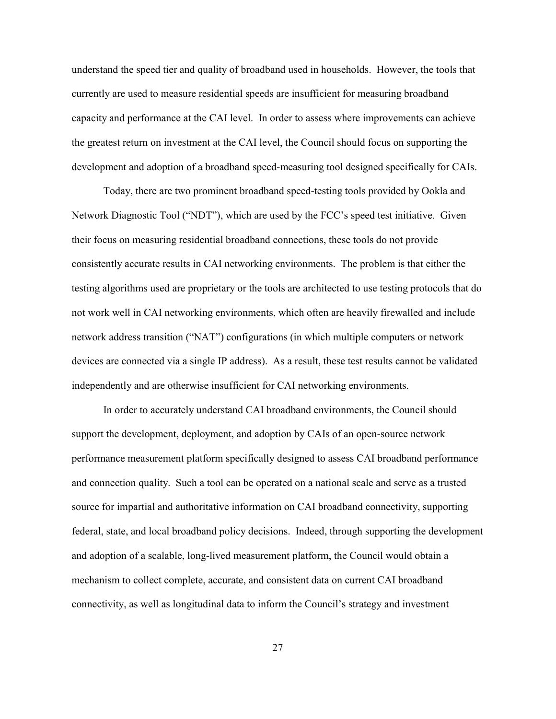understand the speed tier and quality of broadband used in households. However, the tools that currently are used to measure residential speeds are insufficient for measuring broadband capacity and performance at the CAI level. In order to assess where improvements can achieve the greatest return on investment at the CAI level, the Council should focus on supporting the development and adoption of a broadband speed-measuring tool designed specifically for CAIs.

Today, there are two prominent broadband speed-testing tools provided by Ookla and Network Diagnostic Tool ("NDT"), which are used by the FCC's speed test initiative. Given their focus on measuring residential broadband connections, these tools do not provide consistently accurate results in CAI networking environments. The problem is that either the testing algorithms used are proprietary or the tools are architected to use testing protocols that do not work well in CAI networking environments, which often are heavily firewalled and include network address transition ("NAT") configurations (in which multiple computers or network devices are connected via a single IP address). As a result, these test results cannot be validated independently and are otherwise insufficient for CAI networking environments.

In order to accurately understand CAI broadband environments, the Council should support the development, deployment, and adoption by CAIs of an open-source network performance measurement platform specifically designed to assess CAI broadband performance and connection quality. Such a tool can be operated on a national scale and serve as a trusted source for impartial and authoritative information on CAI broadband connectivity, supporting federal, state, and local broadband policy decisions. Indeed, through supporting the development and adoption of a scalable, long-lived measurement platform, the Council would obtain a mechanism to collect complete, accurate, and consistent data on current CAI broadband connectivity, as well as longitudinal data to inform the Council's strategy and investment